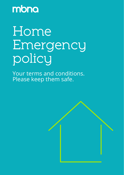mbna

# Home Emergency policy

Your terms and conditions. Please keep them safe.

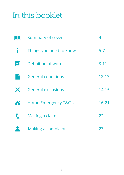## In this booklet

|               | Summary of cover                | 4         |
|---------------|---------------------------------|-----------|
|               | Things you need to know         | $5-7$     |
| $A-Z$         | Definition of words             | $8 - 11$  |
|               | <b>General conditions</b>       | $12 - 13$ |
| $\bm{\times}$ | <b>General exclusions</b>       | $14 - 15$ |
| A             | <b>Home Emergency T&amp;C's</b> | $16 - 21$ |
| r"            | Making a claim                  | 22        |
|               | Making a complaint              | 23        |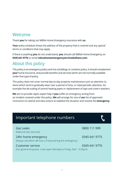### Welcome

Thank **you** for taking out MBNA Home Emergency insurance with **us**.

**Your** policy schedule shows the address of the property that is covered and any special terms or conditions that may apply.

If there is anything **you** do not understand, **you** should call MBNA Home Emergency on **0345 641 9776** or email **mbnahomeemergencyservice@allianz.com**.

### About this policy

This policy is an emergency policy and not a buildings or contents policy. It should complement **your** home insurance, and provide benefits and services which are not normally available under that type of policy.

This policy does not cover normal day-to-day property maintenance such as attention to items which tend to gradually wear over a period of time, or need periodic attention, for example the de-scaling of central heating pipes or replacement of taps and cistern washers.

**We** aim to provide rapid, expert help if **you** suffer an emergency arising from an incident covered under this policy. **We** will arrange for one of **our** list of approved contractors to attend and take actions to stabilise the situation and resolve the **emergency**.

| Important telephone numbers                                                            |               |
|----------------------------------------------------------------------------------------|---------------|
| Gas Leaks<br>(National Gas Services)                                                   | 0800 111 999  |
| 24hr home emergency<br>(Always call within 48 hours of discovering the emergency)      | 0345 641 9775 |
| Customer service<br>(For general enquiries. Lines open Monday to Friday, 9am - 5:30pm) | 0345 641 9776 |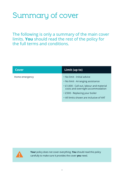## Summary of cover

The following is only a summary of the main cover limits. **You** should read the rest of the policy for the full terms and conditions.

| Cover          | Limit (up to)                                                                 |
|----------------|-------------------------------------------------------------------------------|
| Home emergency | • No limit - Initial advice                                                   |
|                | • No limit - Arranging assistance                                             |
|                | • £1,000 - Call out, labour and material<br>costs and overnight accommodation |
|                | • £500 - Replacing your boiler                                                |
|                | . All limits shown are inclusive of VAT                                       |



**Your** policy does not cover everything. **You** should read this policy carefully to make sure it provides the cover **you** need.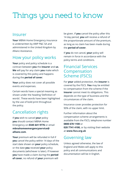## Things you need to know

#### Insurer

**Your** MBNA Home Emergency insurance is underwritten by AWP P&C SA and administered in the United Kingdom by Allianz Assistance.

### How your policy works

**Your** policy and policy schedule is a contract between **you** the **insurer** and **us**. **We** will pay for any claim **you** make which is covered by this policy and happens during the **period of cover**.

**Your** policy does not cover all possible events and expenses.

Certain words have a special meaning as shown under the heading 'Definition of words'. These words have been highlighted by the use of bold print throughout the policy.

### Cancellation rights

If **you** wish to cancel **your** policy **you** should contact MBNA Home Emergency on **0345 641 9776** or email **mbnahomeemergencyservice@ allianz.com**.

**Your** premium will be refunded in full if **you** cancel the policy within 14 days of the start date shown on **your** policy schedule, or the date **you** received **your** policy documents (whichever is later). If however **you** have made a claim during the **period of cover**, no refund of **your** premium will

be given. If **you** cancel the policy after this 14 day period, **you** will receive a refund of the proportionate amount of the premium, as long as no claim has been made during the **period of cover**.

If **you** do not cancel, **your** policy will remain in force in accordance with the policy terms and conditions.

### Financial Services Compensation Scheme (FSCS)

For **your** added protection, the **insurer** is covered by the FSCS. **You** may be entitled to compensation from the scheme if the **insurer** cannot meet its obligations. This depends on the type of business and the circumstances of the claim.

Insurance cover provides protection for 90% of the claim, with no upper limit.

Further information about the compensation scheme arrangements is available from the FSCS, telephone number **0800 678 1100** or **020 7741 4100,** or by visiting their website at **www.fscs.org.uk**

### Governing law

Unless agreed otherwise, the law of England and Wales will apply to this policy and all communications and documentation will be in English.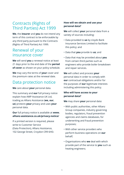### Contracts (Rights of Third Parties) Act 1999

**We**, the **insurer** and **you** do not intend any term of this contract to be enforceable by any third party pursuant to the Contracts (Rights of Third Parties) Act 1999.

### Renewal of your insurance cover

**We** will send **you** a renewal notice at least 21 days prior to the end date of the **period of cover** as shown on your policy schedule.

**We** may vary the terms of **your** cover and the premium rates at the renewal date.

#### Data protection notice

**We** care about **your** personal data.

This summary and **our** full privacy notice explain how AWP Assistance UK Ltd, trading as Allianz Assistance (**we, our**, **us**) protects **your** privacy and uses **your** personal data.

#### **Our** full privacy notice is available at **www. allianz-assistance.co.uk/privacy-notice/**

If a printed version is required, please write to Customer Service (Data Protection), Allianz Assistance, 102 George Street, Croydon CR9 6HD.

#### **How will we obtain and use your personal data?**

**We** will collect **your** personal data from a variety of sources including:

- Data provided to **us** by Lloyds Bank Insurance Services Limited to facilitate this policy; and
- Data that **you** provide to **us**; and
- Data that may be provided about **you** from certain third parties such as engineers who provide boiler breakdown and repair services.

**We** will collect and process **your** personal data in order to comply with **our** contractual obligations and/or for the purposes of **our** legitimate interests including administering this policy.

#### **Who will have access to your personal data?**

**We** may share **your** personal data:

- With public authorities, other Allianz Group companies, industry governing bodies, regulators, fraud prevention agencies and claims databases, for underwriting and fraud prevention purposes;
- With other service providers who perform business operations on **our** behalf;
- Organisations who **we** deal with which provide part of the service to **you** such as heating engineers;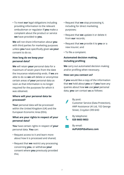• To meet **our** legal obligations including providing information to the relevant ombudsman or regulator if **you** make a complaint about the product or service **we** have provided to **you**.

**We** will not share information about **you** with third parties for marketing purposes unless **you** have specifically given **us your** consent to do so.

#### **How long do we keep your personal data?**

**We** will retain **your** personal data for a maximum of seven years from the date the insurance relationship ends. If **we** are able to do so **we** will delete or anonymise certain areas of **your** personal data as soon as that information is no longer required for the purposes for which it was obtained.

#### **Where will your personal data be processed?**

**Your** personal data will be processed within the United Kingdom (UK) and the European Economic Area (EEA).

#### **What are your rights in respect of your personal data?**

**You** have certain rights in respect of **your** personal data. **You** can:

- Request access to it and learn more about how it is processed and shared;
- Request that **we** restrict any processing concerning **you**, or withdraw **your** consent where **you** previously provided this;
- Request that **we** stop processing it, including for direct marketing purposes;
- Request that **we** update it or delete it from **our** records;
- Request that **we** provide it to **you** or a new insurer; and
- To file a complaint.

#### **Automated decision making, including profiling**

**We** carry out automated decision making and/or profiling when necessary.

#### **How can you contact us?**

If **you** would like a copy of the information that **we** hold about **you** or if **you** have any queries about how **we** use **your** personal data, **you** can contact **us** as follows:

> By post: Customer Service (Data Protection), AWP Assistance UK Ltd, 102 George Street, Croydon CR9 6HD

 By telephone: **020 8603 9853**

 $\lambda$  By email: **AzPUKDP@allianz.com**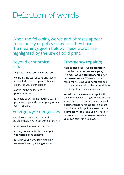## Definition of words

When the following words and phrases appear in the policy or policy schedule, they have the meanings given below. These words are highlighted by the use of bold print.

### Beyond economical repair

The point at which **our tradesperson:**

- considers the cost of parts and labour to repair the boiler is greater than our estimated value of the boiler;
- considers the boiler to be in **poor condition**;
- is unable to obtain the required spare parts to complete the **emergency repair** within 28 days.

### Emergency/emergencies

A sudden and unforeseen domestic situation which, if not dealt with quickly, will:

- make **your home** unsafe or insecure
- damage, or cause further damage to **your home** or its contents
- result in **your home** losing its main source of heating, lighting or water.

### Emergency repair(s)

Work carried out by **our tradesperson** to resolve the immediate **emergency**. This may involve a **temporary repair** or **permanent repair**. When we make a repair **we** will leave **your home** safe and habitable, but **we** will not be responsible for reinstating it to its original condition.

**We** will make a **permanent repair** if this can be carried out during the same visit and at a similar cost to the temporary repair. If a permanent repair is not possible or the cost difference is significant, **we** will make a **temporary repair** and **you** will need to replace this with a **permanent repair** at **your** own cost within 30 days.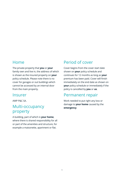### Home

The private property that **you** or **your** family own and live in, the address of which is shown as the insured property on **your** policy schedule. Please note there is no cover for garages or out buildings which cannot be accessed by an internal door from the main property.

#### Insurer

AWP P&C SA.

### Multi-occupancy property

A building, part of which is **your home**, where there is shared responsibility for all or part of the amenities and structure, for example a maisonette, apartment or flat.

### Period of cover

Cover begins from the cover start date shown on **your** policy schedule and continues for 12 months as long as **your** premium has been paid. Cover will finish immediately on the end date as shown on **your** policy schedule or immediately if the policy is cancelled by **you** or **us**.

### Permanent repair

Work needed to put right any loss or damage to **your home** caused by the **emergency**.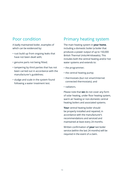### Poor condition

A badly maintained boiler, examples of which can be evidenced by:

- rust build up from ongoing leaks that have not been dealt with;
- genuine parts not being fitted;
- tampering by third parties that has not been carried out in accordance with the manufacturer's guidelines;
- sludge and scale in the system found following a water treatment test.

### Primary heating system

The main heating system in **your home**, including a domestic boiler (a boiler that produces a power output of up to 150,000 British Thermal Units/44 kilowatts). This includes both the central heating and/or hot water systems and extends to:

- the programmer;
- the central heating pump;
- thermostats (but not smart/internet connected thermostats); and
- radiators.

Please note that **we** do not cover any form of solar heating, under floor heating system, warm air heating or non-domestic central heating boilers and associated systems.

**Your** central heating boiler should be properly installed and repaired, in accordance with the manufacturer's recommendations and serviced and maintained at least every 24 months.

Written confirmation of **your** last boiler service (within the last 24 months) will be required in the event of a claim.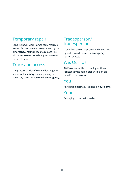### Temporary repair

Repairs and/or work immediately required to stop further damage being caused by the **emergency**. **You** will need to replace this with a **permanent repair** at **your** own cost within 30 days.

### Trace and access

The process of identifying and locating the source of the **emergency** or gaining the necessary access to resolve the **emergency**.

### Tradesperson/ tradespersons

A qualified person approved and instructed by **us** to provide domestic **emergency** repair services.

### We, Our, Us

AWP Assistance UK Ltd trading as Allianz Assistance who administer this policy on behalf of the **insurer**.

### You

Any person normally residing in **your home**.

#### Your

Belonging to the policyholder.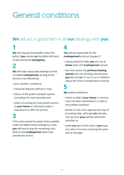## General conditions

### **We** will act in good faith in all **our** dealings with **you**.

## **1**

**We** will only pay the benefits under this policy if **you** contact **us** first within 48 hours of discovering the **emergency**.

### **2**

**We** will make reasonable attempts to find a suitable **tradesperson**, as long as the service is not affected by:

- poor weather conditions;
- industrial disputes (official or not);
- failure of the public transport system (including the road network); and
- other circumstances that prevent access to **your home** or otherwise make it impractical to offer the service.

### **3**

If the costs exceed the policy limits available under the MBNA Home Emergency cover, **you** will have to pay the remaining costs direct to the **tradesperson** when they provide the service.

## **4**

**You** will be responsible for the **tradesperson's** call-out charges if:

- having asked for help, **you** are not at **home** when the **tradesperson** arrives;
- the only reason the **primary heating system** was not working, was because **you** did not light it, turn it on or failed to adjust the time or temperature controls.

**5**

**We** shall be entitled to:

- refuse to help if **your home** or services have not been maintained in a safe or serviceable condition;
- decide on the most appropriate way of providing help, although **we** will take into account **your** wishes whenever possible; or
- settle **our** part of the claim if **you** have any other insurance covering the same loss or damage.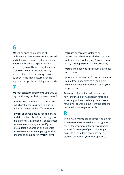## **6**

**We** will arrange to supply and fit replacement parts when they are needed and if they are covered under the policy. If **you** ask that more expensive parts are fitted, **you** will have to pay the extra cost. **We** are not responsible for any inconvenience, loss or damage caused by delay in the manufacturers, or their suppliers or agents, supplying spare parts.

### **7**

**We** may cancel the policy by giving **you** 30 days' notice to **your** last known address if:

- **you** tell **us** something that is not true, which influences **our** decision as to whether cover can be offered or not:
- if **you**, or anyone acting for **you**, make a claim under this policy knowing it to be dishonest, intentionally exaggerated or fraudulent in any way, or if **you** give a false declaration or deliberate mis-statement when applying for this insurance or supporting **your** claim;
- **you** use or threaten violence or aggressive behaviour (including the use of foul or abusive language) towards **our** staff, **tradespersons** or their property;
- **you** fail to keep **your** premium payments up to date; or
- **you** abuse the service, for example if **you** make frequent claims to clear a drain which has been blocked because of **your** improper use.

Any return of premium will depend on how long the policy has been in force and whether **you** have made any claims. **Your** refund will be worked out from the date the cancellation notice period ends.

### **8**

This is not a maintenance contract and is for an **emergency** only. **We** have the right to cancel the insurance if the service is being abused, for example if **you** make frequent claims to clear a drain which has been blocked because of **your** improper use.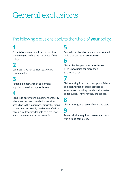## General exclusions

### The following exclusions apply to the whole of **your** policy:

### **1**

Any **emergency** arising from circumstances known to **you** before the start date of **your** policy.

### **2**

Costs **we** have not authorised. Always phone **us** first.

### **3**

Routine maintenance of equipment, supplies or services in **your home**.

### **4**

Repairs to any system, equipment or facility which has not been installed or repaired according to the manufacturer's instructions or has been incorrectly used or modified, or which is faulty or inadequate as a result of any manufacturer's or designer's fault.

**5**

Any wilful act by **you**, or something **you** fail to do that causes an **emergency**.

### **6**

Claims that happen when **your home** is left unoccupied for more than 60 days in a row.

### **7**

Claims arising from the interruption, failure or disconnection of public services to **your home** (including the electricity, water or gas supply), however they are caused.

### **8**

Claims arising as a result of wear and tear.

### **9**

Any repair that requires **trace and access** works to be completed.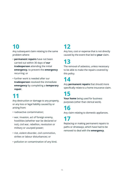## **10**

Any subsequent claim relating to the same problem where:

- **permanent repairs** have not been carried out within 30 days of **our tradesperson** attending the initial **emergency**, to prevent the **emergency** recurring; or
- further work is needed after our **tradesperson** resolved the immediate **emergency** by completing a **temporary repair**.

## **11**

Any destruction or damage to any property, or any loss or legal liability caused by or arising from:

- radioactive contamination;
- war, invasion, act of foreign enemy, hostilities (whether war be declared or not), civil war, rebellion, revolution or military or usurped power;
- riot, violent disorder, civil commotion, strikes or labour disturbances; or
- pollution or contamination of any kind.

## **12**

Any loss, cost or expense that is not directly caused by the event that led to **your** claim.

**13**

The removal of asbestos, unless necessary to be able to make the repairs covered by this policy.

**14** 

Any **permanent repairs** that should more specifically relate to a home insurance claim.

**15**

**Your home** being used for business purposes (other than clerical work).

**16**

Any claim relating to domestic appliances.

**17**

Replacing or making permanent repairs to paths or driveways, which have had to be removed to deal with the **emergency**.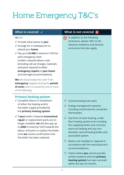# Home Emergency T&C's

#### We will:

- **√** Provide initial advice to **you**;
- **√** Arrange for a tradesperson to attend your **home**;
- **√** Pay up to **£1,000** in total (incl. VAT) for each emergency claim incident, towards labour costs (including call out charges, materials and parts required to effect **emergency repairs** in **your home** and overnight accommodation);

**We** will only provide this cover if the **emergency** happens during the **period of cover** and it is caused by one or more of the following:

#### **Primary heating system**

- **√** Complete failure or breakdown of either the heating and/or hot-water supply provided by the **primary heating system**.
- **√** If **your** boiler is beyond **economical repair** or replacement parts are no longer available, **we** will also pay up to **£500** in total (incl VAT) towards the labour and parts to replace the boiler, once **we** receive confirmation that the boiler has been replaced.

#### What is covered  $\checkmark$  what is not covered  $\checkmark$

**In addition to the following** exclusions, please refer to the General conditions and General exclusions that also apply.

- $\times$  Central-heating fuel tanks.
- $\times$  Energy management systems, including smart/internet connected thermostats.
- $\times$  Any form of solar heating, under floor heating system (not including the supplying boiler and controls), warm air heating and any nondomestic central heating boiler and associated system.
- $\times$  Boilers not installed or repaired in accordance with the manufacturer's recommendations.
- 6 Claims where **you** cannot provide written evidence that the **primary heating system** has been serviced within the last 24 months.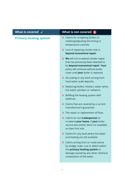| What is covered $\,\,\check{}\,$ | What is not covered $\vert\mathsf{x}\vert$                                                                                                                                                        |
|----------------------------------|---------------------------------------------------------------------------------------------------------------------------------------------------------------------------------------------------|
| <b>Primary heating system</b>    | X Claims for re-lighting boilers or<br>resetting/adjusting the timing or<br>temperature controls.                                                                                                 |
|                                  | $\times$ Cost of repairing a boiler that is<br>beyond economical repair.                                                                                                                          |
|                                  | X We will not re-attend a boiler repair<br>that has previously been deemed to<br>be beyond economical repair. Your<br>policy will continue without boiler<br>cover until your boiler is replaced. |
|                                  | X De-scaling or any work arising from<br>hard water scale deposits.                                                                                                                               |
|                                  | X Replacing boilers, heaters, water tanks,<br>hot water cylinders or radiators.                                                                                                                   |
|                                  | X Refilling the heating system with<br>additives.                                                                                                                                                 |
|                                  | $\times$ Claims that are covered by a current<br>manufacturer's guarantee.                                                                                                                        |
|                                  | $\times$ The repair or replacement of flues.                                                                                                                                                      |
|                                  | X Claims for our tradesperson to<br>re-attend your home, if your boiler<br>service documents were not available<br>on their first visit.                                                          |
|                                  | X Claims for any fault where hot water<br>and heating are still available.                                                                                                                        |
|                                  | X Claims arising from or made worse<br>by sludge, scale, rust or debris within<br>the primary heating system or<br>damage caused by any other chemical<br>composition of the water.               |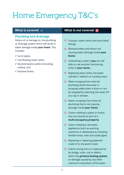# Home Emergency T&C's

#### **Plumbing and drainage**

Failure of, or damage to, the plumbing or drainage system which will result in water damage inside **your home**. This includes:

- **√** burst pipes;
- **√** overflowing water tanks;
- **√** blocked waste outlets (including toilets); and
- **√** blocked drains.

#### What is covered  $\checkmark$  what is not covered  $\checkmark$

- $\times$  Cesspits, septic tanks and associated fittings.
- $\times$  Blocked toilets and drains not causing water damage inside **your home**.
- 6 Unblocking a toilet if **you** are still able to use another functioning toilet in **your home**.
- $\times$  Replacing water tanks, hot-water cylinders, radiators or sanitary ware.
- $\times$  Water escaping from internal plumbing where the water is escaping safely down a drain or can be stopped by switching the water off at a tap or shower.
- $\times$  Water escaping from external plumbing that is not causing damage inside **your home**.
- $\times$  Claims relating to pipes or drains that are shared as part of a **multi-occupancy property**.
- $\times$  Claims relating to domestic appliances (such as washing machines or dishwashers), including flexible hoses, inlet and outlet pipes.
- $\times$  Repairing or replacing pipework made of or encased in lead.
- $\times$  Claims arising from or made worse by sludge, scale, rust or debris within the **primary heating system** or damage caused by any other chemical composition of the water.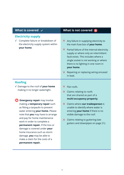#### **Electricity supply**

**√** Complete failure or breakdown of the electricity supply system within **your home**.

#### What is covered  $\checkmark$  what is not covered  $\checkmark$

- $\times$  Any failure in supplying electricity to the main fuse box of **your home**.
- $\times$  Partial failure of the internal electricity supply or where only an intermittent fault exists. This includes where a single socket is not working or where there is no lighting in one room in **your home**.
- **X** Repairing or replacing wiring encased in lead.

#### **Roofing**

- **√** Damage to the roof of **your home** making it no longer watertight.
- *<b>Emergency repair* may involve making a **temporary repair** such as fitting a tarpaulin to prevent water entering **your home.** Please note that **you** may have to arrange and pay for home maintenance work in order to complete a **permanent repair.** If the loss or damage is covered under **your** home insurance such as storm damage, **you** may be able to make a claim for the costs of a **permanent repair.**
- X Flat roofs.
- $\times$  Claims relating to roofs that are shared as part of a **multi-occupancy property**.
- 6 Claims where **our tradesperson** is unable to identify where water is entering **your home** if there is no visible damage to the roof.
- $\times$  Claims relating to guttering (see gutters and downpipes on page 21).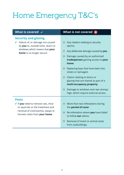# Home Emergency T&C's

#### **Security and glazing**

**√** Failure of, or damage not caused by **you** to, outside locks, doors or windows which means that **your home** is no longer secure.

#### What is covered  $\checkmark$  what is not covered  $\checkmark$

- $\times$  Any matters relating to security alarms.
- 6 Any deliberate damage caused by **you**.
- $\times$  Damage caused by an authorised **tradesperson** gaining access to **your home**.
- $\times$  Replacing keys that have been lost, stolen or damaged.
- $\times$  Claims relating to doors or glazing that are shared as part of a **multi-occupancy property**.
- $\times$  Damage to windows over two storeys high, which require external access.

#### **Pests**

- **√** If **you** need to remove rats, mice or squirrels or the treatment and removal of cockroaches, wasps or hornets nests from **your home**.
- $\times$  More than two infestations during the **period of cover**.
- 6 Re-infestation where **you** have failed to follow **our** advice.
- $\times$  Removal of insect or animal nests from outbuildings.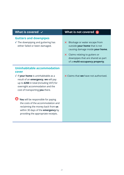| What is covered $\checkmark$                                                                                                                                                                                                                                        | What is not covered $\times$                                                                                                                                                                                                        |
|---------------------------------------------------------------------------------------------------------------------------------------------------------------------------------------------------------------------------------------------------------------------|-------------------------------------------------------------------------------------------------------------------------------------------------------------------------------------------------------------------------------------|
| <b>Gutters and downpipes</b><br>$\sqrt{\ }$ The downpiping and guttering has<br>either failed or been damaged.                                                                                                                                                      | Blockage or water escape from<br>$\mathsf{x}$<br>outside your home that is not<br>causing damage inside your home.<br>$\times$ Claims relating to gutters or<br>downpipes that are shared as part<br>of a multi-occupancy property. |
| <b>Uninhabitable accommodation</b><br>cover<br>$\sqrt{ }$ If <b>your home</b> is uninhabitable as a<br>result of an <b>emergency</b> , we will pay<br>up to £250 in total (including VAT) for<br>overnight accommodation and the<br>cost of transporting you there. | <b>X</b> Claims that we have not authorised.                                                                                                                                                                                        |
| You will be responsible for paying<br>the costs of the accommodation and<br>reclaiming the money back from us<br>within 30 days of the <b>emergency</b> by<br>providing the appropriate receipts.                                                                   |                                                                                                                                                                                                                                     |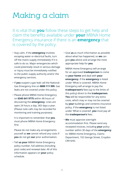## Making a claim

It is vital that **you** follow these steps to get help and claim the benefits available under **your** MBNA Home Emergency insurance if there is an **emergency** that is covered by the policy:

- Stay calm. If the **emergency** involves escaping water or electrical faults, turn off the mains supply immediately if it is safe to do so. Major emergencies which could potentially result in serious damage or injury must be immediately notified to the public supply authority and/or the emergency services.
- If **you** suspect a gas leak call the National Gas Emergency line on **0800 111 999**. Gas leaks are not covered under this policy.
- Please phone MBNA Home Emergency on **0345 641 9775** within 48 hours of discovering the **emergency**. Lines are open 24 hours a day, 365 days a year. (Please note calls may be recorded for monitoring and training purposes).

It is important to remember that **you** must phone MBNA Home Emergency first.

Please do not make any arrangements yourself as **we** cannot refund any costs if **you** do not get **our** prior authorisation.

• Tell **us your** MBNA Home Emergency policy number, full address (including post code) and renewal date. All of this information appears on **your** policy schedule.

• Give **us** as much information as possible about what has happened, so **we** can give **you** advice and arrange the most appropriate help for **you**.

MBNA Home Emergency will arrange for an approved **tradesperson** to come to **your home** and deal with **your emergency**. If the **emergency** is listed under 'What is covered', MBNA Home Emergency will arrange to pay the **tradesperson's** fees (up to the limits of this policy) direct to the **tradesperson**. **You** will be responsible for any extra costs, which may or may not be covered by **your** buildings and contents insurance policy. If the **emergency** is not listed under 'What is covered', **you** must pay all the **tradesperson's** fees.

• **We** must approve overnight accommodation first. Please send any receipted invoices, including **your** policy number within 30 days of the **emergency** to: MBNA Home Emergency, Claims Department, 102 George Street, Croydon CR9 6HD.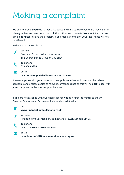## Making a complaint

**We** aim to provide **you** with a first class policy and service. However, there may be times when **you** feel **we** have not done so. If this is the case, please tell **us** about it so that **we** can do **our** best to solve the problem. If **you** make a complaint **your** legal rights will not be affected.

In the first instance, please:



 Write to: Customer Service, Allianz Assistance, 102 George Street, Croydon CR9 6HD



 Telephone: **020 8603 9853**



#### **customersupport@allianz-assistance.co.uk**

Please supply **us** with **your** name, address, policy number and claim number where applicable and enclose copies of relevant correspondence as this will help **us** to deal with **your** complaint, in the shortest possible time.

If **you** are not satisfied with **our** final response **you** can refer the matter to the UK Financial Ombudsman Service for independent arbitration.



Visit:

**www.financial-ombudsman.org.uk**



Financial Ombudsman Service, Exchange Tower, London E14 9SR



Telephone:

**0800 023 4567** or **0300 123 9123**